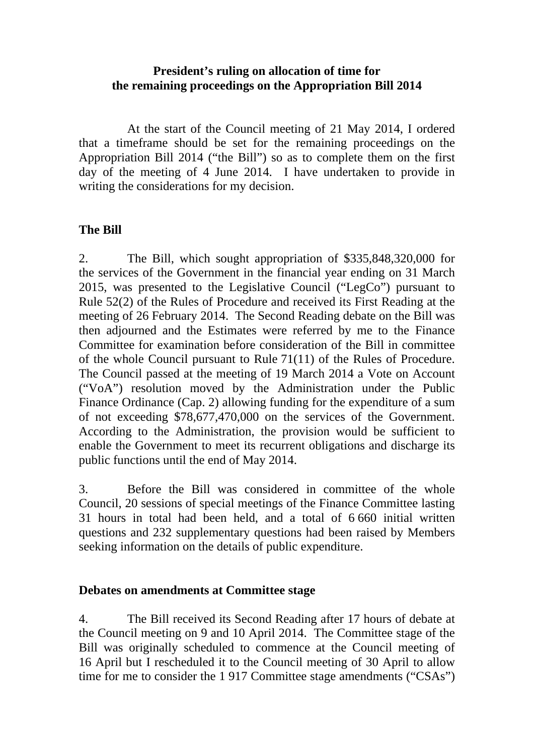## **President's ruling on allocation of time for the remaining proceedings on the Appropriation Bill 2014**

 At the start of the Council meeting of 21 May 2014, I ordered that a timeframe should be set for the remaining proceedings on the Appropriation Bill 2014 ("the Bill") so as to complete them on the first day of the meeting of 4 June 2014. I have undertaken to provide in writing the considerations for my decision.

## **The Bill**

2. The Bill, which sought appropriation of \$335,848,320,000 for the services of the Government in the financial year ending on 31 March 2015, was presented to the Legislative Council ("LegCo") pursuant to Rule 52(2) of the Rules of Procedure and received its First Reading at the meeting of 26 February 2014. The Second Reading debate on the Bill was then adjourned and the Estimates were referred by me to the Finance Committee for examination before consideration of the Bill in committee of the whole Council pursuant to Rule 71(11) of the Rules of Procedure. The Council passed at the meeting of 19 March 2014 a Vote on Account ("VoA") resolution moved by the Administration under the Public Finance Ordinance (Cap. 2) allowing funding for the expenditure of a sum of not exceeding \$78,677,470,000 on the services of the Government. According to the Administration, the provision would be sufficient to enable the Government to meet its recurrent obligations and discharge its public functions until the end of May 2014.

3. Before the Bill was considered in committee of the whole Council, 20 sessions of special meetings of the Finance Committee lasting 31 hours in total had been held, and a total of 6 660 initial written questions and 232 supplementary questions had been raised by Members seeking information on the details of public expenditure.

## **Debates on amendments at Committee stage**

4. The Bill received its Second Reading after 17 hours of debate at the Council meeting on 9 and 10 April 2014. The Committee stage of the Bill was originally scheduled to commence at the Council meeting of 16 April but I rescheduled it to the Council meeting of 30 April to allow time for me to consider the 1 917 Committee stage amendments ("CSAs")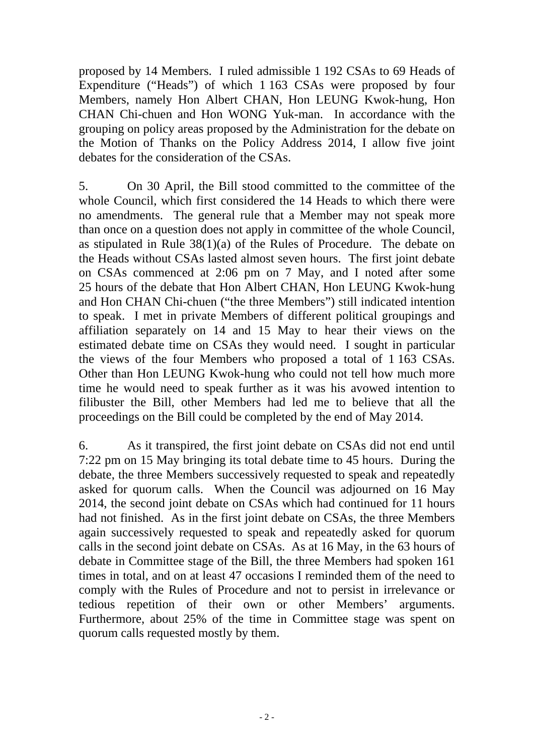proposed by 14 Members. I ruled admissible 1 192 CSAs to 69 Heads of Expenditure ("Heads") of which 1 163 CSAs were proposed by four Members, namely Hon Albert CHAN, Hon LEUNG Kwok-hung, Hon CHAN Chi-chuen and Hon WONG Yuk-man. In accordance with the grouping on policy areas proposed by the Administration for the debate on the Motion of Thanks on the Policy Address 2014, I allow five joint debates for the consideration of the CSAs.

5. On 30 April, the Bill stood committed to the committee of the whole Council, which first considered the 14 Heads to which there were no amendments. The general rule that a Member may not speak more than once on a question does not apply in committee of the whole Council, as stipulated in Rule 38(1)(a) of the Rules of Procedure. The debate on the Heads without CSAs lasted almost seven hours. The first joint debate on CSAs commenced at 2:06 pm on 7 May, and I noted after some 25 hours of the debate that Hon Albert CHAN, Hon LEUNG Kwok-hung and Hon CHAN Chi-chuen ("the three Members") still indicated intention to speak. I met in private Members of different political groupings and affiliation separately on 14 and 15 May to hear their views on the estimated debate time on CSAs they would need. I sought in particular the views of the four Members who proposed a total of 1 163 CSAs. Other than Hon LEUNG Kwok-hung who could not tell how much more time he would need to speak further as it was his avowed intention to filibuster the Bill, other Members had led me to believe that all the proceedings on the Bill could be completed by the end of May 2014.

6. As it transpired, the first joint debate on CSAs did not end until 7:22 pm on 15 May bringing its total debate time to 45 hours. During the debate, the three Members successively requested to speak and repeatedly asked for quorum calls. When the Council was adjourned on 16 May 2014, the second joint debate on CSAs which had continued for 11 hours had not finished. As in the first joint debate on CSAs, the three Members again successively requested to speak and repeatedly asked for quorum calls in the second joint debate on CSAs. As at 16 May, in the 63 hours of debate in Committee stage of the Bill, the three Members had spoken 161 times in total, and on at least 47 occasions I reminded them of the need to comply with the Rules of Procedure and not to persist in irrelevance or tedious repetition of their own or other Members' arguments. Furthermore, about 25% of the time in Committee stage was spent on quorum calls requested mostly by them.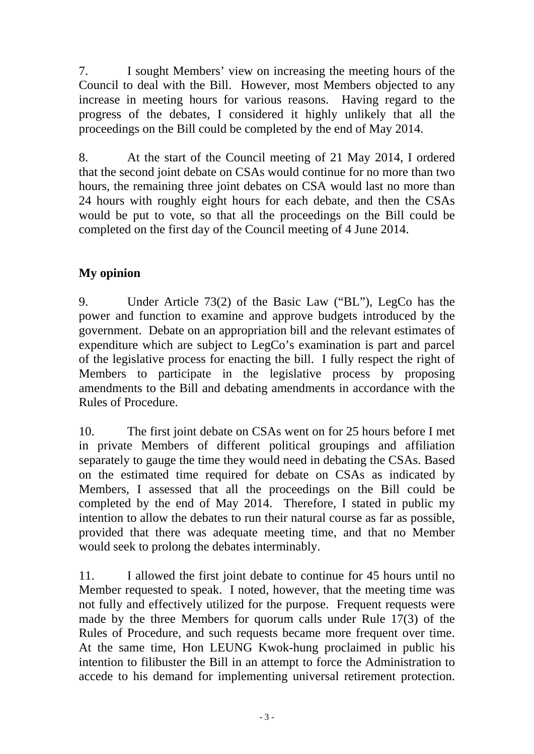7. I sought Members' view on increasing the meeting hours of the Council to deal with the Bill. However, most Members objected to any increase in meeting hours for various reasons. Having regard to the progress of the debates, I considered it highly unlikely that all the proceedings on the Bill could be completed by the end of May 2014.

8. At the start of the Council meeting of 21 May 2014, I ordered that the second joint debate on CSAs would continue for no more than two hours, the remaining three joint debates on CSA would last no more than 24 hours with roughly eight hours for each debate, and then the CSAs would be put to vote, so that all the proceedings on the Bill could be completed on the first day of the Council meeting of 4 June 2014.

## **My opinion**

9. Under Article 73(2) of the Basic Law ("BL"), LegCo has the power and function to examine and approve budgets introduced by the government. Debate on an appropriation bill and the relevant estimates of expenditure which are subject to LegCo's examination is part and parcel of the legislative process for enacting the bill. I fully respect the right of Members to participate in the legislative process by proposing amendments to the Bill and debating amendments in accordance with the Rules of Procedure.

10. The first joint debate on CSAs went on for 25 hours before I met in private Members of different political groupings and affiliation separately to gauge the time they would need in debating the CSAs. Based on the estimated time required for debate on CSAs as indicated by Members, I assessed that all the proceedings on the Bill could be completed by the end of May 2014. Therefore, I stated in public my intention to allow the debates to run their natural course as far as possible, provided that there was adequate meeting time, and that no Member would seek to prolong the debates interminably.

11. I allowed the first joint debate to continue for 45 hours until no Member requested to speak. I noted, however, that the meeting time was not fully and effectively utilized for the purpose. Frequent requests were made by the three Members for quorum calls under Rule 17(3) of the Rules of Procedure, and such requests became more frequent over time. At the same time, Hon LEUNG Kwok-hung proclaimed in public his intention to filibuster the Bill in an attempt to force the Administration to accede to his demand for implementing universal retirement protection.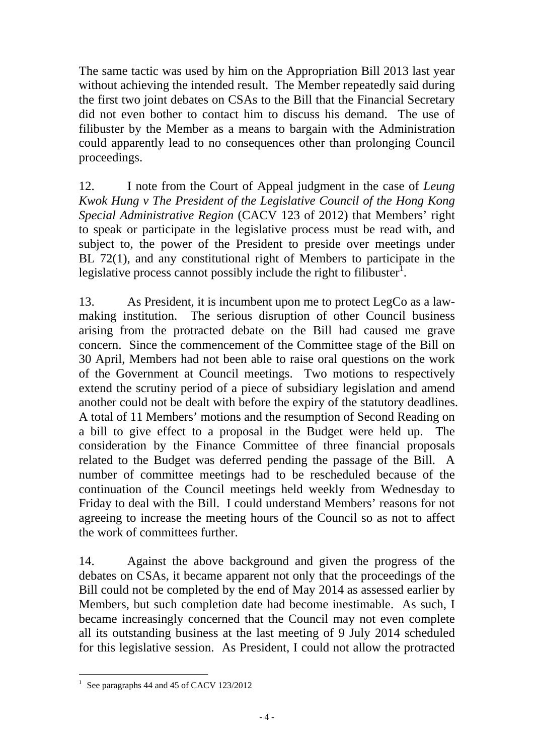The same tactic was used by him on the Appropriation Bill 2013 last year without achieving the intended result. The Member repeatedly said during the first two joint debates on CSAs to the Bill that the Financial Secretary did not even bother to contact him to discuss his demand. The use of filibuster by the Member as a means to bargain with the Administration could apparently lead to no consequences other than prolonging Council proceedings.

12. I note from the Court of Appeal judgment in the case of *Leung Kwok Hung v The President of the Legislative Council of the Hong Kong Special Administrative Region* (CACV 123 of 2012) that Members' right to speak or participate in the legislative process must be read with, and subject to, the power of the President to preside over meetings under BL 72(1), and any constitutional right of Members to participate in the legislative process cannot possibly include the right to filibuster<sup>1</sup>.

13. As President, it is incumbent upon me to protect LegCo as a lawmaking institution. The serious disruption of other Council business arising from the protracted debate on the Bill had caused me grave concern. Since the commencement of the Committee stage of the Bill on 30 April, Members had not been able to raise oral questions on the work of the Government at Council meetings. Two motions to respectively extend the scrutiny period of a piece of subsidiary legislation and amend another could not be dealt with before the expiry of the statutory deadlines. A total of 11 Members' motions and the resumption of Second Reading on a bill to give effect to a proposal in the Budget were held up. The consideration by the Finance Committee of three financial proposals related to the Budget was deferred pending the passage of the Bill. A number of committee meetings had to be rescheduled because of the continuation of the Council meetings held weekly from Wednesday to Friday to deal with the Bill. I could understand Members' reasons for not agreeing to increase the meeting hours of the Council so as not to affect the work of committees further.

14. Against the above background and given the progress of the debates on CSAs, it became apparent not only that the proceedings of the Bill could not be completed by the end of May 2014 as assessed earlier by Members, but such completion date had become inestimable. As such, I became increasingly concerned that the Council may not even complete all its outstanding business at the last meeting of 9 July 2014 scheduled for this legislative session. As President, I could not allow the protracted

 1 See paragraphs 44 and 45 of CACV 123/2012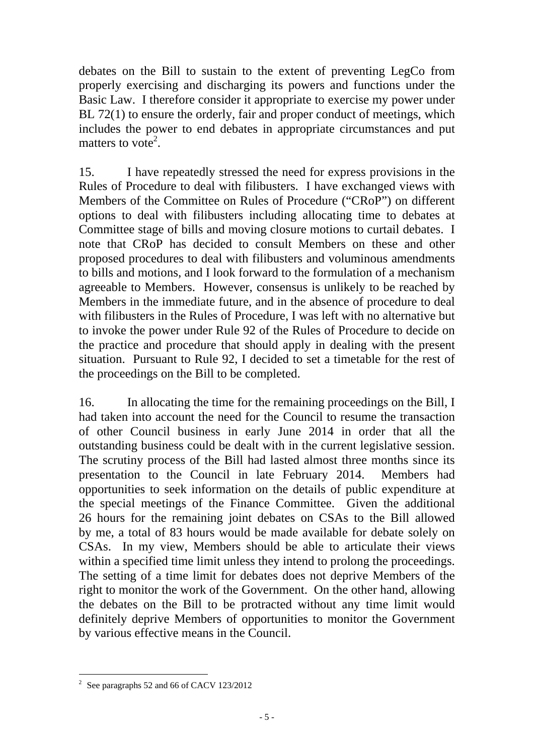debates on the Bill to sustain to the extent of preventing LegCo from properly exercising and discharging its powers and functions under the Basic Law. I therefore consider it appropriate to exercise my power under BL 72(1) to ensure the orderly, fair and proper conduct of meetings, which includes the power to end debates in appropriate circumstances and put matters to vote<sup>2</sup>.

15. I have repeatedly stressed the need for express provisions in the Rules of Procedure to deal with filibusters. I have exchanged views with Members of the Committee on Rules of Procedure ("CRoP") on different options to deal with filibusters including allocating time to debates at Committee stage of bills and moving closure motions to curtail debates. I note that CRoP has decided to consult Members on these and other proposed procedures to deal with filibusters and voluminous amendments to bills and motions, and I look forward to the formulation of a mechanism agreeable to Members. However, consensus is unlikely to be reached by Members in the immediate future, and in the absence of procedure to deal with filibusters in the Rules of Procedure, I was left with no alternative but to invoke the power under Rule 92 of the Rules of Procedure to decide on the practice and procedure that should apply in dealing with the present situation. Pursuant to Rule 92, I decided to set a timetable for the rest of the proceedings on the Bill to be completed.

16. In allocating the time for the remaining proceedings on the Bill, I had taken into account the need for the Council to resume the transaction of other Council business in early June 2014 in order that all the outstanding business could be dealt with in the current legislative session. The scrutiny process of the Bill had lasted almost three months since its presentation to the Council in late February 2014. Members had opportunities to seek information on the details of public expenditure at the special meetings of the Finance Committee. Given the additional 26 hours for the remaining joint debates on CSAs to the Bill allowed by me, a total of 83 hours would be made available for debate solely on CSAs. In my view, Members should be able to articulate their views within a specified time limit unless they intend to prolong the proceedings. The setting of a time limit for debates does not deprive Members of the right to monitor the work of the Government. On the other hand, allowing the debates on the Bill to be protracted without any time limit would definitely deprive Members of opportunities to monitor the Government by various effective means in the Council.

<sup>&</sup>lt;sup>2</sup> See paragraphs 52 and 66 of CACV 123/2012